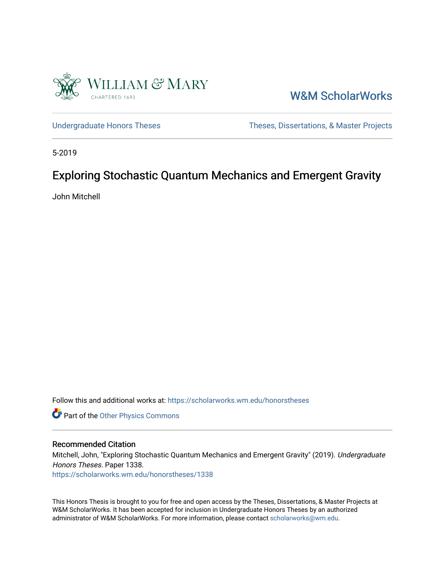

[W&M ScholarWorks](https://scholarworks.wm.edu/) 

[Undergraduate Honors Theses](https://scholarworks.wm.edu/honorstheses) Theses Theses, Dissertations, & Master Projects

5-2019

#### Exploring Stochastic Quantum Mechanics and Emergent Gravity

John Mitchell

Follow this and additional works at: [https://scholarworks.wm.edu/honorstheses](https://scholarworks.wm.edu/honorstheses?utm_source=scholarworks.wm.edu%2Fhonorstheses%2F1338&utm_medium=PDF&utm_campaign=PDFCoverPages) 

Part of the [Other Physics Commons](http://network.bepress.com/hgg/discipline/207?utm_source=scholarworks.wm.edu%2Fhonorstheses%2F1338&utm_medium=PDF&utm_campaign=PDFCoverPages)

#### Recommended Citation

Mitchell, John, "Exploring Stochastic Quantum Mechanics and Emergent Gravity" (2019). Undergraduate Honors Theses. Paper 1338.

[https://scholarworks.wm.edu/honorstheses/1338](https://scholarworks.wm.edu/honorstheses/1338?utm_source=scholarworks.wm.edu%2Fhonorstheses%2F1338&utm_medium=PDF&utm_campaign=PDFCoverPages)

This Honors Thesis is brought to you for free and open access by the Theses, Dissertations, & Master Projects at W&M ScholarWorks. It has been accepted for inclusion in Undergraduate Honors Theses by an authorized administrator of W&M ScholarWorks. For more information, please contact [scholarworks@wm.edu.](mailto:scholarworks@wm.edu)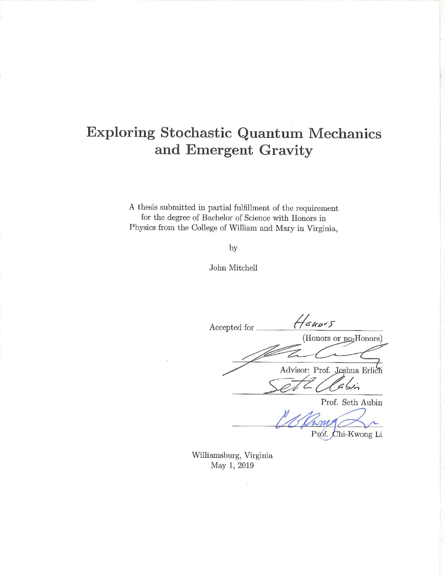#### **Exploring Stochastic Quantum Mechanics** and Emergent Gravity

A thesis submitted in partial fulfillment of the requirement for the degree of Bachelor of Science with Honors in Physics from the College of William and Mary in Virginia,

by

John Mitchell

Houses Accepted for (Honors or no-Honors) Advisor: Prof. Joshua Erlich  $\frac{1}{2}$ Prof. Seth Aubin

Prof. Chi-Kwong Li

Williamsburg, Virginia May 1, 2019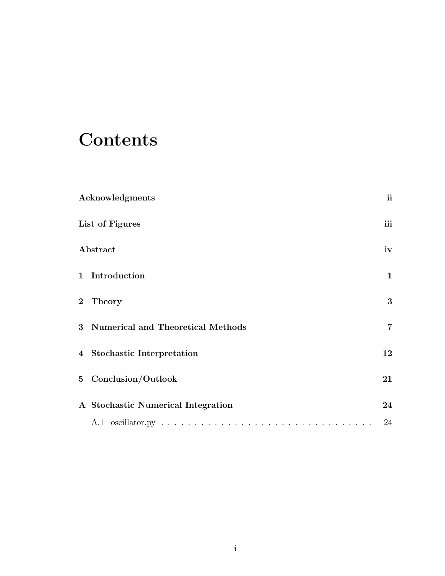### **Contents**

| Acknowledgments                     | <i>ii</i>      |
|-------------------------------------|----------------|
| List of Figures                     | iii            |
| Abstract                            | iv             |
| 1 Introduction                      | $\mathbf{1}$   |
| 2 Theory                            | 3              |
| 3 Numerical and Theoretical Methods | $\overline{7}$ |
| 4 Stochastic Interpretation         | 12             |
| 5 Conclusion/Outlook                | 21             |
| A Stochastic Numerical Integration  | 24             |
|                                     | 24             |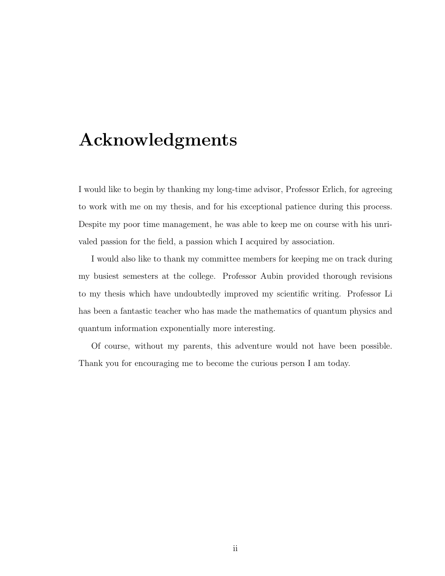### Acknowledgments

I would like to begin by thanking my long-time advisor, Professor Erlich, for agreeing to work with me on my thesis, and for his exceptional patience during this process. Despite my poor time management, he was able to keep me on course with his unrivaled passion for the field, a passion which I acquired by association.

I would also like to thank my committee members for keeping me on track during my busiest semesters at the college. Professor Aubin provided thorough revisions to my thesis which have undoubtedly improved my scientific writing. Professor Li has been a fantastic teacher who has made the mathematics of quantum physics and quantum information exponentially more interesting.

Of course, without my parents, this adventure would not have been possible. Thank you for encouraging me to become the curious person I am today.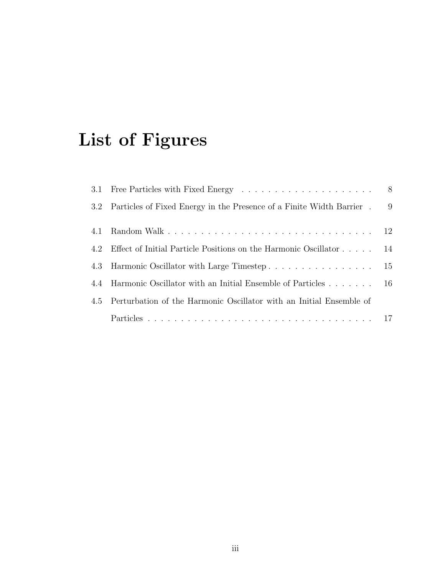## List of Figures

|     | 3.2 Particles of Fixed Energy in the Presence of a Finite Width Barrier . 9 |  |
|-----|-----------------------------------------------------------------------------|--|
| 4.1 |                                                                             |  |
| 4.2 | Effect of Initial Particle Positions on the Harmonic Oscillator 14          |  |
|     | 4.3 Harmonic Oscillator with Large Timestep 15                              |  |
|     | 4.4 Harmonic Oscillator with an Initial Ensemble of Particles 16            |  |
|     | 4.5 Perturbation of the Harmonic Oscillator with an Initial Ensemble of     |  |
|     |                                                                             |  |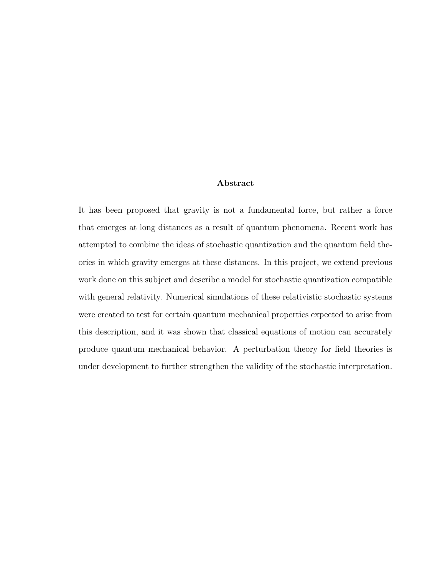#### Abstract

It has been proposed that gravity is not a fundamental force, but rather a force that emerges at long distances as a result of quantum phenomena. Recent work has attempted to combine the ideas of stochastic quantization and the quantum field theories in which gravity emerges at these distances. In this project, we extend previous work done on this subject and describe a model for stochastic quantization compatible with general relativity. Numerical simulations of these relativistic stochastic systems were created to test for certain quantum mechanical properties expected to arise from this description, and it was shown that classical equations of motion can accurately produce quantum mechanical behavior. A perturbation theory for field theories is under development to further strengthen the validity of the stochastic interpretation.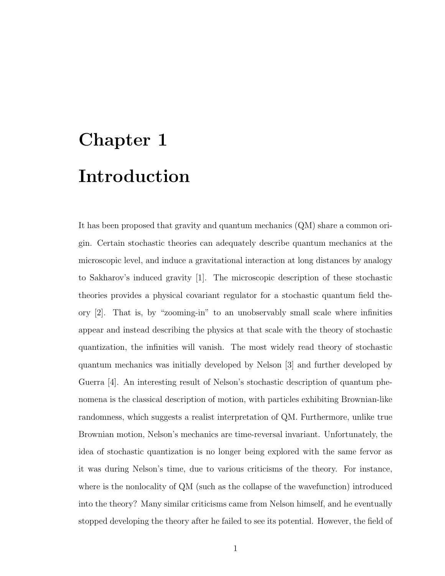## Chapter 1 Introduction

It has been proposed that gravity and quantum mechanics (QM) share a common origin. Certain stochastic theories can adequately describe quantum mechanics at the microscopic level, and induce a gravitational interaction at long distances by analogy to Sakharov's induced gravity [1]. The microscopic description of these stochastic theories provides a physical covariant regulator for a stochastic quantum field theory [2]. That is, by "zooming-in" to an unobservably small scale where infinities appear and instead describing the physics at that scale with the theory of stochastic quantization, the infinities will vanish. The most widely read theory of stochastic quantum mechanics was initially developed by Nelson [3] and further developed by Guerra [4]. An interesting result of Nelson's stochastic description of quantum phenomena is the classical description of motion, with particles exhibiting Brownian-like randomness, which suggests a realist interpretation of QM. Furthermore, unlike true Brownian motion, Nelson's mechanics are time-reversal invariant. Unfortunately, the idea of stochastic quantization is no longer being explored with the same fervor as it was during Nelson's time, due to various criticisms of the theory. For instance, where is the nonlocality of QM (such as the collapse of the wavefunction) introduced into the theory? Many similar criticisms came from Nelson himself, and he eventually stopped developing the theory after he failed to see its potential. However, the field of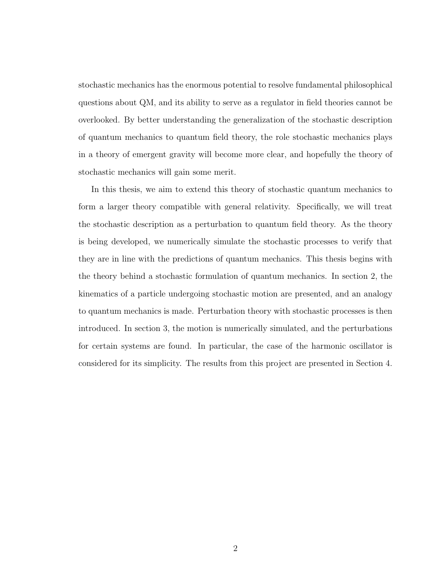stochastic mechanics has the enormous potential to resolve fundamental philosophical questions about QM, and its ability to serve as a regulator in field theories cannot be overlooked. By better understanding the generalization of the stochastic description of quantum mechanics to quantum field theory, the role stochastic mechanics plays in a theory of emergent gravity will become more clear, and hopefully the theory of stochastic mechanics will gain some merit.

In this thesis, we aim to extend this theory of stochastic quantum mechanics to form a larger theory compatible with general relativity. Specifically, we will treat the stochastic description as a perturbation to quantum field theory. As the theory is being developed, we numerically simulate the stochastic processes to verify that they are in line with the predictions of quantum mechanics. This thesis begins with the theory behind a stochastic formulation of quantum mechanics. In section 2, the kinematics of a particle undergoing stochastic motion are presented, and an analogy to quantum mechanics is made. Perturbation theory with stochastic processes is then introduced. In section 3, the motion is numerically simulated, and the perturbations for certain systems are found. In particular, the case of the harmonic oscillator is considered for its simplicity. The results from this project are presented in Section 4.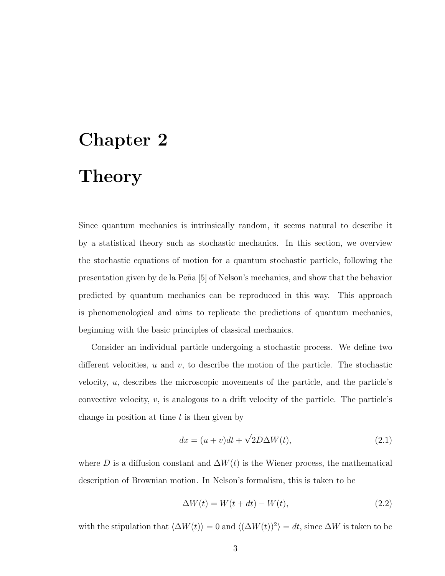## Chapter 2 Theory

Since quantum mechanics is intrinsically random, it seems natural to describe it by a statistical theory such as stochastic mechanics. In this section, we overview the stochastic equations of motion for a quantum stochastic particle, following the presentation given by de la Peña [5] of Nelson's mechanics, and show that the behavior predicted by quantum mechanics can be reproduced in this way. This approach is phenomenological and aims to replicate the predictions of quantum mechanics, beginning with the basic principles of classical mechanics.

Consider an individual particle undergoing a stochastic process. We define two different velocities,  $u$  and  $v$ , to describe the motion of the particle. The stochastic velocity, u, describes the microscopic movements of the particle, and the particle's convective velocity,  $v$ , is analogous to a drift velocity of the particle. The particle's change in position at time  $t$  is then given by

$$
dx = (u+v)dt + \sqrt{2D}\Delta W(t),
$$
\n(2.1)

where D is a diffusion constant and  $\Delta W(t)$  is the Wiener process, the mathematical description of Brownian motion. In Nelson's formalism, this is taken to be

$$
\Delta W(t) = W(t + dt) - W(t),\tag{2.2}
$$

with the stipulation that  $\langle \Delta W(t) \rangle = 0$  and  $\langle (\Delta W(t))^2 \rangle = dt$ , since  $\Delta W$  is taken to be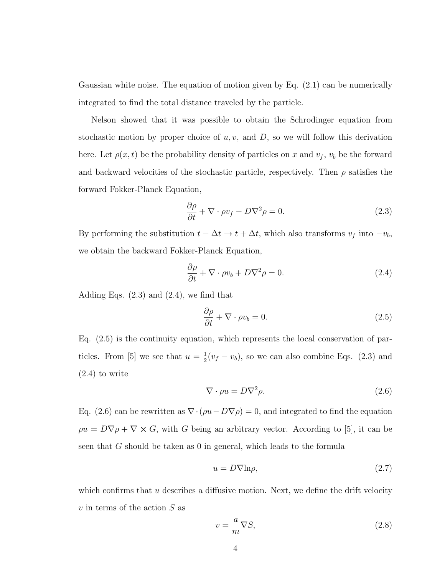Gaussian white noise. The equation of motion given by Eq. (2.1) can be numerically integrated to find the total distance traveled by the particle.

Nelson showed that it was possible to obtain the Schrodinger equation from stochastic motion by proper choice of  $u, v$ , and  $D$ , so we will follow this derivation here. Let  $\rho(x, t)$  be the probability density of particles on x and  $v_f$ ,  $v_b$  be the forward and backward velocities of the stochastic particle, respectively. Then  $\rho$  satisfies the forward Fokker-Planck Equation,

$$
\frac{\partial \rho}{\partial t} + \nabla \cdot \rho v_f - D \nabla^2 \rho = 0.
$$
\n(2.3)

By performing the substitution  $t - \Delta t \rightarrow t + \Delta t$ , which also transforms  $v_f$  into  $-v_b$ , we obtain the backward Fokker-Planck Equation,

$$
\frac{\partial \rho}{\partial t} + \nabla \cdot \rho v_b + D \nabla^2 \rho = 0. \qquad (2.4)
$$

Adding Eqs.  $(2.3)$  and  $(2.4)$ , we find that

$$
\frac{\partial \rho}{\partial t} + \nabla \cdot \rho v_b = 0. \tag{2.5}
$$

Eq. (2.5) is the continuity equation, which represents the local conservation of particles. From [5] we see that  $u=\frac{1}{2}$  $\frac{1}{2}(v_f - v_b)$ , so we can also combine Eqs. (2.3) and (2.4) to write

$$
\nabla \cdot \rho u = D \nabla^2 \rho. \tag{2.6}
$$

Eq. (2.6) can be rewritten as  $\nabla \cdot (\rho u - D \nabla \rho) = 0$ , and integrated to find the equation  $\rho u = D \nabla \rho + \nabla \times G$ , with G being an arbitrary vector. According to [5], it can be seen that G should be taken as 0 in general, which leads to the formula

$$
u = D\nabla \ln \rho, \tag{2.7}
$$

which confirms that  $u$  describes a diffusive motion. Next, we define the drift velocity  $v$  in terms of the action  $S$  as

$$
v = -\frac{a}{m}\nabla S,\tag{2.8}
$$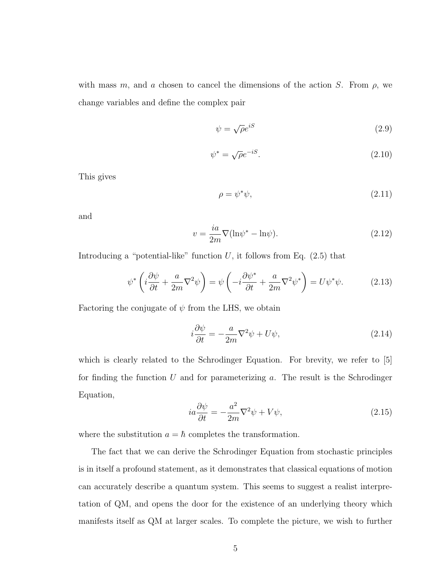with mass m, and a chosen to cancel the dimensions of the action S. From  $\rho$ , we change variables and define the complex pair

$$
\psi = \sqrt{\rho}e^{iS} \tag{2.9}
$$

$$
\psi^* = \sqrt{\rho} e^{-iS}.\tag{2.10}
$$

This gives

$$
\rho = \psi^* \psi,\tag{2.11}
$$

and

$$
v = \frac{ia}{2m} \nabla (\ln \psi^* - \ln \psi). \tag{2.12}
$$

Introducing a "potential-like" function  $U$ , it follows from Eq.  $(2.5)$  that

$$
\psi^* \left( i \frac{\partial \psi}{\partial t} + \frac{a}{2m} \nabla^2 \psi \right) = \psi \left( -i \frac{\partial \psi^*}{\partial t} + \frac{a}{2m} \nabla^2 \psi^* \right) = U \psi^* \psi. \tag{2.13}
$$

Factoring the conjugate of  $\psi$  from the LHS, we obtain

$$
i\frac{\partial\psi}{\partial t} = -\frac{a}{2m}\nabla^2\psi + U\psi,\tag{2.14}
$$

which is clearly related to the Schrodinger Equation. For brevity, we refer to [5] for finding the function U and for parameterizing  $a$ . The result is the Schrodinger Equation,

$$
ia\frac{\partial\psi}{\partial t} = -\frac{a^2}{2m}\nabla^2\psi + V\psi,
$$
\n(2.15)

where the substitution  $a = \hbar$  completes the transformation.

The fact that we can derive the Schrodinger Equation from stochastic principles is in itself a profound statement, as it demonstrates that classical equations of motion can accurately describe a quantum system. This seems to suggest a realist interpretation of QM, and opens the door for the existence of an underlying theory which manifests itself as QM at larger scales. To complete the picture, we wish to further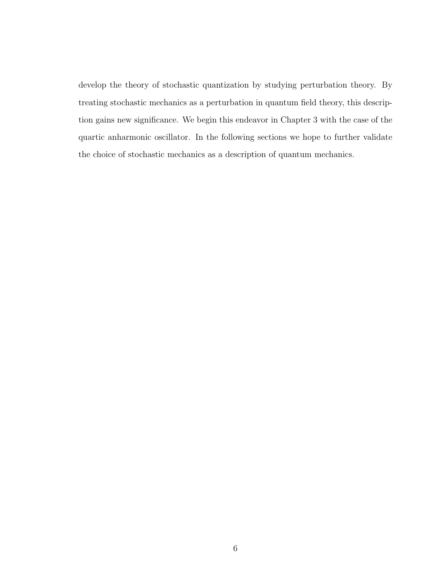develop the theory of stochastic quantization by studying perturbation theory. By treating stochastic mechanics as a perturbation in quantum field theory, this description gains new significance. We begin this endeavor in Chapter 3 with the case of the quartic anharmonic oscillator. In the following sections we hope to further validate the choice of stochastic mechanics as a description of quantum mechanics.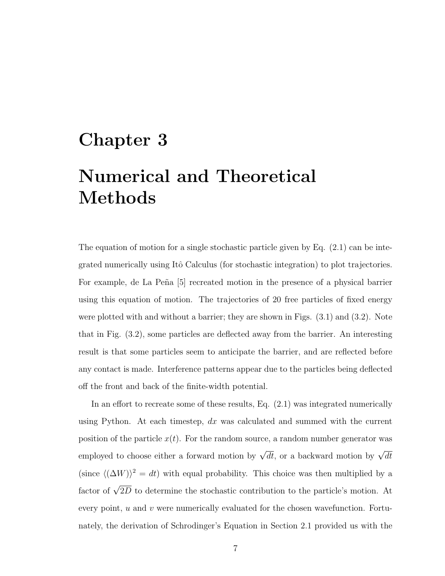## Chapter 3 Numerical and Theoretical Methods

The equation of motion for a single stochastic particle given by Eq. (2.1) can be integrated numerically using Itô Calculus (for stochastic integration) to plot trajectories. For example, de La Peña [5] recreated motion in the presence of a physical barrier using this equation of motion. The trajectories of 20 free particles of fixed energy were plotted with and without a barrier; they are shown in Figs. (3.1) and (3.2). Note that in Fig. (3.2), some particles are deflected away from the barrier. An interesting result is that some particles seem to anticipate the barrier, and are reflected before any contact is made. Interference patterns appear due to the particles being deflected off the front and back of the finite-width potential.

In an effort to recreate some of these results, Eq. (2.1) was integrated numerically using Python. At each timestep,  $dx$  was calculated and summed with the current position of the particle  $x(t)$ . For the random source, a random number generator was employed to choose either a forward motion by  $\sqrt{dt}$ , or a backward motion by  $\sqrt{dt}$ (since  $\langle (\Delta W)^2 = dt$ ) with equal probability. This choice was then multiplied by a factor of  $\sqrt{2D}$  to determine the stochastic contribution to the particle's motion. At every point,  $u$  and  $v$  were numerically evaluated for the chosen wavefunction. Fortunately, the derivation of Schrodinger's Equation in Section 2.1 provided us with the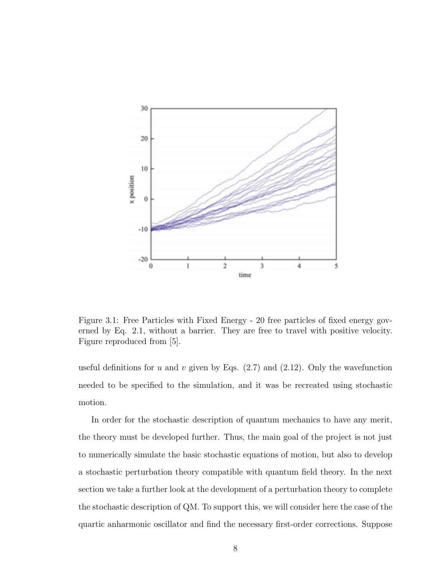

Figure 3.1: Free Particles with Fixed Energy - 20 free particles of fixed energy governed by Eq. 2.1, without a barrier. They are free to travel with positive velocity. Figure reproduced from [5].

useful definitions for u and v given by Eqs.  $(2.7)$  and  $(2.12)$ . Only the wavefunction needed to be specified to the simulation, and it was be recreated using stochastic motion.

In order for the stochastic description of quantum mechanics to have any merit, the theory must be developed further. Thus, the main goal of the project is not just to numerically simulate the basic stochastic equations of motion, but also to develop a stochastic perturbation theory compatible with quantum field theory. In the next section we take a further look at the development of a perturbation theory to complete the stochastic description of QM. To support this, we will consider here the case of the quartic anharmonic oscillator and find the necessary first-order corrections. Suppose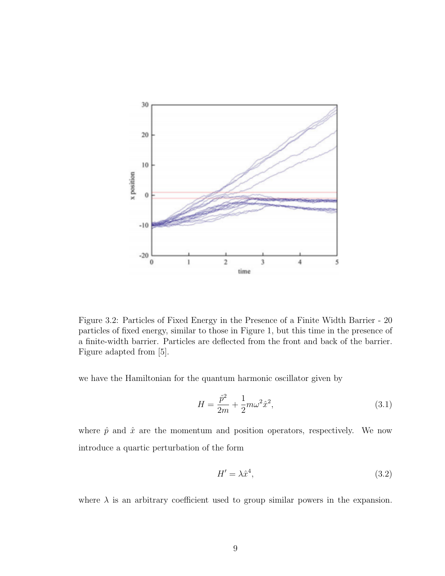

Figure 3.2: Particles of Fixed Energy in the Presence of a Finite Width Barrier - 20 particles of fixed energy, similar to those in Figure 1, but this time in the presence of a finite-width barrier. Particles are deflected from the front and back of the barrier. Figure adapted from [5].

we have the Hamiltonian for the quantum harmonic oscillator given by

$$
H = \frac{\hat{p}^2}{2m} + \frac{1}{2}m\omega^2 \hat{x}^2,
$$
\n(3.1)

where  $\hat{p}$  and  $\hat{x}$  are the momentum and position operators, respectively. We now introduce a quartic perturbation of the form

$$
H' = \lambda \hat{x}^4,\tag{3.2}
$$

where  $\lambda$  is an arbitrary coefficient used to group similar powers in the expansion.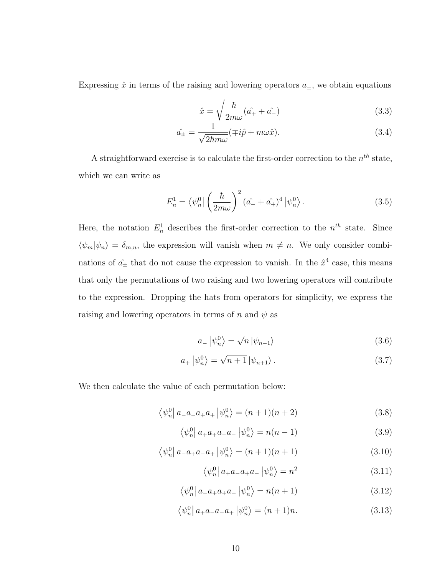Expressing  $\hat{x}$  in terms of the raising and lowering operators  $a_{\pm}$ , we obtain equations

$$
\hat{x} = \sqrt{\frac{\hbar}{2m\omega}} (\hat{a_+} + \hat{a_-})
$$
\n(3.3)

$$
\hat{a_{\pm}} = \frac{1}{\sqrt{2\hbar m\omega}} (\mp i\hat{p} + m\omega \hat{x}). \tag{3.4}
$$

A straightforward exercise is to calculate the first-order correction to the  $n^{th}$  state, which we can write as

$$
E_n^1 = \left\langle \psi_n^0 \right| \left( \frac{\hbar}{2m\omega} \right)^2 (\hat{a}_- + \hat{a}_+^{\, 4})^4 \left| \psi_n^0 \right\rangle. \tag{3.5}
$$

Here, the notation  $E_n^1$  describes the first-order correction to the  $n^{th}$  state. Since  $\langle \psi_m | \psi_n \rangle = \delta_{m,n}$ , the expression will vanish when  $m \neq n$ . We only consider combinations of  $\hat{a}_{\pm}$  that do not cause the expression to vanish. In the  $\hat{x}^4$  case, this means that only the permutations of two raising and two lowering operators will contribute to the expression. Dropping the hats from operators for simplicity, we express the raising and lowering operators in terms of n and  $\psi$  as

$$
a_{-}|\psi_{n}^{0}\rangle = \sqrt{n}|\psi_{n-1}\rangle
$$
\n(3.6)

$$
a_+ \left| \psi_n^0 \right\rangle = \sqrt{n+1} \left| \psi_{n+1} \right\rangle. \tag{3.7}
$$

We then calculate the value of each permutation below:

$$
\langle \psi_n^0 | a_- a_- a_+ a_+ | \psi_n^0 \rangle = (n+1)(n+2) \tag{3.8}
$$

$$
\langle \psi_n^0 | a_+ a_+ a_- a_- | \psi_n^0 \rangle = n(n-1)
$$
\n(3.9)

$$
\langle \psi_n^0 | a_a a_+ a_- a_+ | \psi_n^0 \rangle = (n+1)(n+1) \tag{3.10}
$$

$$
\langle \psi_n^0 | a_+ a_- a_+ a_- | \psi_n^0 \rangle = n^2 \tag{3.11}
$$

$$
\langle \psi_n^0 | a_- a_+ a_+ a_- | \psi_n^0 \rangle = n(n+1)
$$
\n(3.12)

$$
\langle \psi_n^0 | a_+ a_- a_- a_+ | \psi_n^0 \rangle = (n+1)n. \tag{3.13}
$$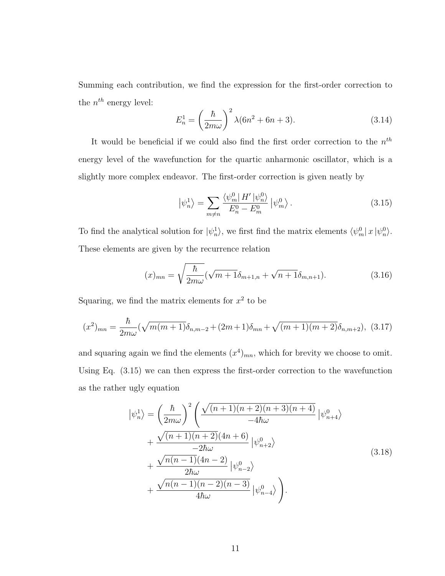Summing each contribution, we find the expression for the first-order correction to the  $n^{th}$  energy level:

$$
E_n^1 = \left(\frac{\hbar}{2m\omega}\right)^2 \lambda (6n^2 + 6n + 3).
$$
 (3.14)

It would be beneficial if we could also find the first order correction to the  $n<sup>th</sup>$ energy level of the wavefunction for the quartic anharmonic oscillator, which is a slightly more complex endeavor. The first-order correction is given neatly by

$$
\left|\psi_n^1\right\rangle = \sum_{m \neq n} \frac{\left\langle \psi_m^0 \right| H' \left|\psi_n^0 \right\rangle}{E_n^0 - E_m^0} \left|\psi_m^0 \right\rangle. \tag{3.15}
$$

To find the analytical solution for  $|\psi_n^1\rangle$ , we first find the matrix elements  $\langle \psi_m^0 | x | \psi_n^0 \rangle$ . These elements are given by the recurrence relation

$$
(x)_{mn} = \sqrt{\frac{\hbar}{2m\omega}} (\sqrt{m+1}\delta_{m+1,n} + \sqrt{n+1}\delta_{m,n+1}).
$$
\n(3.16)

Squaring, we find the matrix elements for  $x^2$  to be

$$
(x^{2})_{mn} = \frac{\hbar}{2m\omega}(\sqrt{m(m+1)}\delta_{n,m-2} + (2m+1)\delta_{mn} + \sqrt{(m+1)(m+2)}\delta_{n,m+2}),
$$
 (3.17)

and squaring again we find the elements  $(x^4)_{mn}$ , which for brevity we choose to omit. Using Eq. (3.15) we can then express the first-order correction to the wavefunction as the rather ugly equation

$$
\begin{split}\n\left|\psi_{n}^{1}\right\rangle &= \left(\frac{\hbar}{2m\omega}\right)^{2} \left(\frac{\sqrt{(n+1)(n+2)(n+3)(n+4)}}{-4\hbar\omega}\left|\psi_{n+4}^{0}\right\rangle\right. \\
&\left.+\frac{\sqrt{(n+1)(n+2)}(4n+6)}{-2\hbar\omega}\left|\psi_{n+2}^{0}\right\rangle\right. \\
&\left.+\frac{\sqrt{n(n-1)}(4n-2)}{2\hbar\omega}\left|\psi_{n-2}^{0}\right\rangle\right. \\
&\left.+\frac{\sqrt{n(n-1)(n-2)(n-3)}}{4\hbar\omega}\left|\psi_{n-4}^{0}\right\rangle\right).\n\end{split} \tag{3.18}
$$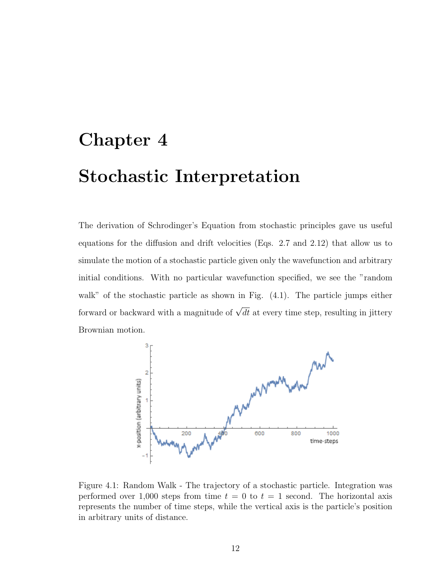# Chapter 4 Stochastic Interpretation

The derivation of Schrodinger's Equation from stochastic principles gave us useful equations for the diffusion and drift velocities (Eqs. 2.7 and 2.12) that allow us to simulate the motion of a stochastic particle given only the wavefunction and arbitrary initial conditions. With no particular wavefunction specified, we see the "random walk" of the stochastic particle as shown in Fig.  $(4.1)$ . The particle jumps either forward or backward with a magnitude of  $\sqrt{dt}$  at every time step, resulting in jittery Brownian motion.



Figure 4.1: Random Walk - The trajectory of a stochastic particle. Integration was performed over 1,000 steps from time  $t = 0$  to  $t = 1$  second. The horizontal axis represents the number of time steps, while the vertical axis is the particle's position in arbitrary units of distance.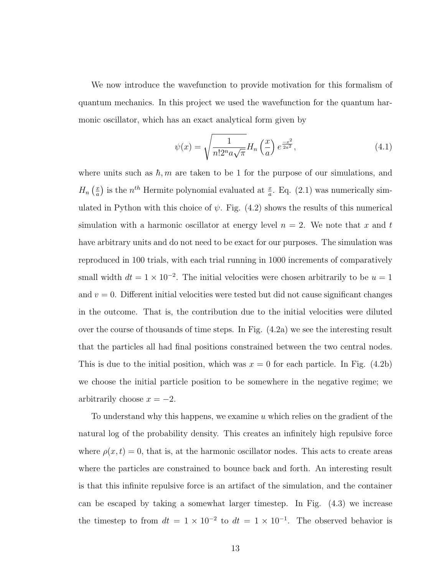We now introduce the wavefunction to provide motivation for this formalism of quantum mechanics. In this project we used the wavefunction for the quantum harmonic oscillator, which has an exact analytical form given by

$$
\psi(x) = \sqrt{\frac{1}{n!2^n a \sqrt{\pi}}} H_n\left(\frac{x}{a}\right) e^{\frac{-x^2}{2a^2}},\tag{4.1}
$$

where units such as  $\hbar$ , m are taken to be 1 for the purpose of our simulations, and  $H_n\left(\frac{x}{a}\right)$  $\frac{x}{a}$ ) is the  $n^{th}$  Hermite polynomial evaluated at  $\frac{x}{a}$ . Eq. (2.1) was numerically simulated in Python with this choice of  $\psi$ . Fig. (4.2) shows the results of this numerical simulation with a harmonic oscillator at energy level  $n = 2$ . We note that x and t have arbitrary units and do not need to be exact for our purposes. The simulation was reproduced in 100 trials, with each trial running in 1000 increments of comparatively small width  $dt = 1 \times 10^{-2}$ . The initial velocities were chosen arbitrarily to be  $u = 1$ and  $v = 0$ . Different initial velocities were tested but did not cause significant changes in the outcome. That is, the contribution due to the initial velocities were diluted over the course of thousands of time steps. In Fig. (4.2a) we see the interesting result that the particles all had final positions constrained between the two central nodes. This is due to the initial position, which was  $x = 0$  for each particle. In Fig. (4.2b) we choose the initial particle position to be somewhere in the negative regime; we arbitrarily choose  $x = -2$ .

To understand why this happens, we examine u which relies on the gradient of the natural log of the probability density. This creates an infinitely high repulsive force where  $\rho(x, t) = 0$ , that is, at the harmonic oscillator nodes. This acts to create areas where the particles are constrained to bounce back and forth. An interesting result is that this infinite repulsive force is an artifact of the simulation, and the container can be escaped by taking a somewhat larger timestep. In Fig. (4.3) we increase the timestep to from  $dt = 1 \times 10^{-2}$  to  $dt = 1 \times 10^{-1}$ . The observed behavior is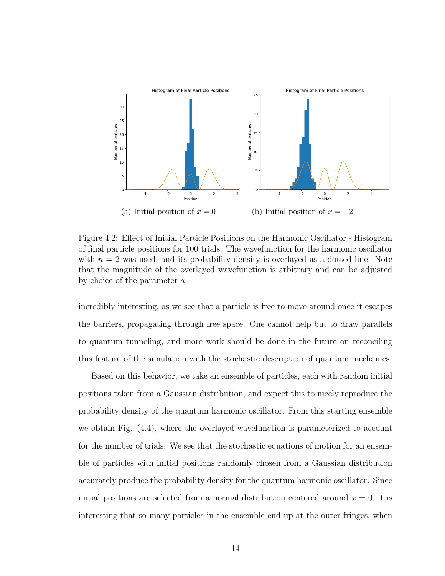

Figure 4.2: Effect of Initial Particle Positions on the Harmonic Oscillator - Histogram of final particle positions for 100 trials. The wavefunction for the harmonic oscillator with  $n = 2$  was used, and its probability density is overlayed as a dotted line. Note that the magnitude of the overlayed wavefunction is arbitrary and can be adjusted by choice of the parameter a.

incredibly interesting, as we see that a particle is free to move around once it escapes the barriers, propagating through free space. One cannot help but to draw parallels to quantum tunneling, and more work should be done in the future on reconciling this feature of the simulation with the stochastic description of quantum mechanics.

Based on this behavior, we take an ensemble of particles, each with random initial positions taken from a Gaussian distribution, and expect this to nicely reproduce the probability density of the quantum harmonic oscillator. From this starting ensemble we obtain Fig. (4.4), where the overlayed wavefunction is parameterized to account for the number of trials. We see that the stochastic equations of motion for an ensemble of particles with initial positions randomly chosen from a Gaussian distribution accurately produce the probability density for the quantum harmonic oscillator. Since initial positions are selected from a normal distribution centered around  $x = 0$ , it is interesting that so many particles in the ensemble end up at the outer fringes, when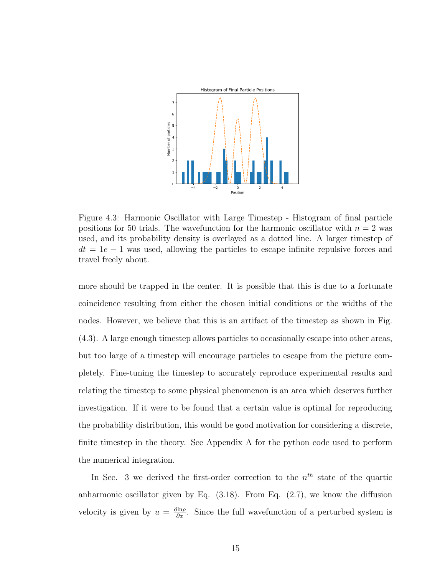

Figure 4.3: Harmonic Oscillator with Large Timestep - Histogram of final particle positions for 50 trials. The wavefunction for the harmonic oscillator with  $n = 2$  was used, and its probability density is overlayed as a dotted line. A larger timestep of  $dt = 1e - 1$  was used, allowing the particles to escape infinite repulsive forces and travel freely about.

more should be trapped in the center. It is possible that this is due to a fortunate coincidence resulting from either the chosen initial conditions or the widths of the nodes. However, we believe that this is an artifact of the timestep as shown in Fig. (4.3). A large enough timestep allows particles to occasionally escape into other areas, but too large of a timestep will encourage particles to escape from the picture completely. Fine-tuning the timestep to accurately reproduce experimental results and relating the timestep to some physical phenomenon is an area which deserves further investigation. If it were to be found that a certain value is optimal for reproducing the probability distribution, this would be good motivation for considering a discrete, finite timestep in the theory. See Appendix A for the python code used to perform the numerical integration.

In Sec. 3 we derived the first-order correction to the  $n<sup>th</sup>$  state of the quartic anharmonic oscillator given by Eq. (3.18). From Eq. (2.7), we know the diffusion velocity is given by  $u = \frac{\partial \ln \rho}{\partial x}$ . Since the full wavefunction of a perturbed system is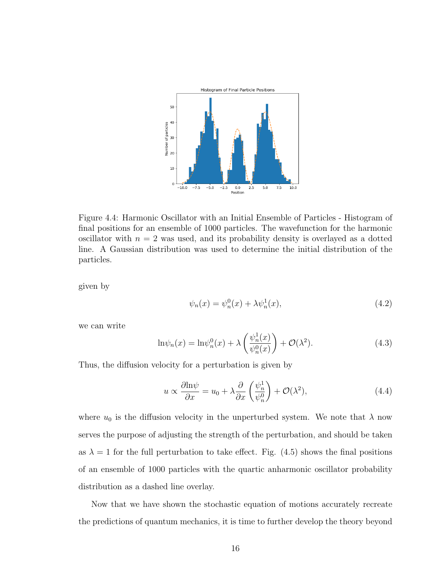

Figure 4.4: Harmonic Oscillator with an Initial Ensemble of Particles - Histogram of final positions for an ensemble of 1000 particles. The wavefunction for the harmonic oscillator with  $n = 2$  was used, and its probability density is overlayed as a dotted line. A Gaussian distribution was used to determine the initial distribution of the particles.

given by

$$
\psi_n(x) = \psi_n^0(x) + \lambda \psi_n^1(x),\tag{4.2}
$$

we can write

$$
\ln \psi_n(x) = \ln \psi_n^0(x) + \lambda \left(\frac{\psi_n^1(x)}{\psi_n^0(x)}\right) + \mathcal{O}(\lambda^2). \tag{4.3}
$$

Thus, the diffusion velocity for a perturbation is given by

$$
u \propto \frac{\partial \ln \psi}{\partial x} = u_0 + \lambda \frac{\partial}{\partial x} \left( \frac{\psi_n^1}{\psi_n^0} \right) + \mathcal{O}(\lambda^2), \tag{4.4}
$$

where  $u_0$  is the diffusion velocity in the unperturbed system. We note that  $\lambda$  now serves the purpose of adjusting the strength of the perturbation, and should be taken as  $\lambda = 1$  for the full perturbation to take effect. Fig. (4.5) shows the final positions of an ensemble of 1000 particles with the quartic anharmonic oscillator probability distribution as a dashed line overlay.

Now that we have shown the stochastic equation of motions accurately recreate the predictions of quantum mechanics, it is time to further develop the theory beyond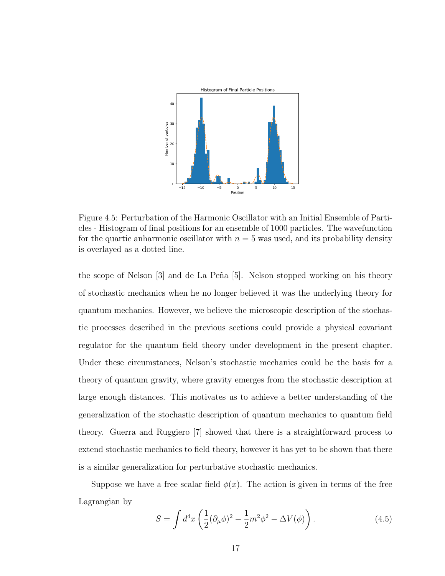

Figure 4.5: Perturbation of the Harmonic Oscillator with an Initial Ensemble of Particles - Histogram of final positions for an ensemble of 1000 particles. The wavefunction for the quartic anharmonic oscillator with  $n = 5$  was used, and its probability density is overlayed as a dotted line.

the scope of Nelson [3] and de La Peña [5]. Nelson stopped working on his theory of stochastic mechanics when he no longer believed it was the underlying theory for quantum mechanics. However, we believe the microscopic description of the stochastic processes described in the previous sections could provide a physical covariant regulator for the quantum field theory under development in the present chapter. Under these circumstances, Nelson's stochastic mechanics could be the basis for a theory of quantum gravity, where gravity emerges from the stochastic description at large enough distances. This motivates us to achieve a better understanding of the generalization of the stochastic description of quantum mechanics to quantum field theory. Guerra and Ruggiero [7] showed that there is a straightforward process to extend stochastic mechanics to field theory, however it has yet to be shown that there is a similar generalization for perturbative stochastic mechanics.

Suppose we have a free scalar field  $\phi(x)$ . The action is given in terms of the free Lagrangian by

$$
S = \int d^4x \left( \frac{1}{2} (\partial_\mu \phi)^2 - \frac{1}{2} m^2 \phi^2 - \Delta V(\phi) \right). \tag{4.5}
$$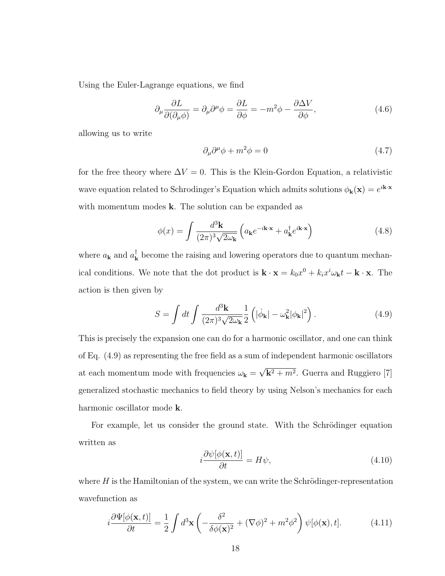Using the Euler-Lagrange equations, we find

$$
\partial_{\mu} \frac{\partial L}{\partial(\partial_{\mu}\phi)} = \partial_{\mu}\partial^{\mu}\phi = \frac{\partial L}{\partial \phi} = -m^2\phi - \frac{\partial \Delta V}{\partial \phi}, \qquad (4.6)
$$

allowing us to write

$$
\partial_{\mu}\partial^{\mu}\phi + m^2\phi = 0 \tag{4.7}
$$

for the free theory where  $\Delta V = 0$ . This is the Klein-Gordon Equation, a relativistic wave equation related to Schrodinger's Equation which admits solutions  $\phi_{\mathbf{k}}(\mathbf{x}) = e^{i\mathbf{k}\cdot\mathbf{x}}$ with momentum modes **k**. The solution can be expanded as

$$
\phi(x) = \int \frac{d^3 \mathbf{k}}{(2\pi)^3 \sqrt{2\omega_{\mathbf{k}}}} \left( a_{\mathbf{k}} e^{-i\mathbf{k} \cdot \mathbf{x}} + a_{\mathbf{k}}^{\dagger} e^{i\mathbf{k} \cdot \mathbf{x}} \right)
$$
(4.8)

where  $a_{\mathbf{k}}$  and  $a_{\mathbf{k}}^{\dagger}$  $\mathbf{k}$  become the raising and lowering operators due to quantum mechanical conditions. We note that the dot product is  $\mathbf{k} \cdot \mathbf{x} = k_0 x^0 + k_i x^i \omega_{\mathbf{k}} t - \mathbf{k} \cdot \mathbf{x}$ . The action is then given by

$$
S = \int dt \int \frac{d^3 \mathbf{k}}{(2\pi)^3 \sqrt{2\omega_{\mathbf{k}}}} \frac{1}{2} \left( |\dot{\phi}_{\mathbf{k}}| - \omega_{\mathbf{k}}^2 |\phi_{\mathbf{k}}|^2 \right).
$$
 (4.9)

This is precisely the expansion one can do for a harmonic oscillator, and one can think of Eq. (4.9) as representing the free field as a sum of independent harmonic oscillators at each momentum mode with frequencies  $\omega_{\mathbf{k}} =$ √  $\mathbf{k}^2 + m^2$ . Guerra and Ruggiero [7] generalized stochastic mechanics to field theory by using Nelson's mechanics for each harmonic oscillator mode k.

For example, let us consider the ground state. With the Schrödinger equation written as

$$
i\frac{\partial\psi[\phi(\mathbf{x},t)]}{\partial t} = H\psi,
$$
\n(4.10)

where  $H$  is the Hamiltonian of the system, we can write the Schrödinger-representation wavefunction as

$$
i\frac{\partial\Psi[\phi(\mathbf{x},t)]}{\partial t} = \frac{1}{2} \int d^3 \mathbf{x} \left( -\frac{\delta^2}{\delta\phi(\mathbf{x})^2} + (\nabla\phi)^2 + m^2 \phi^2 \right) \psi[\phi(\mathbf{x}),t]. \tag{4.11}
$$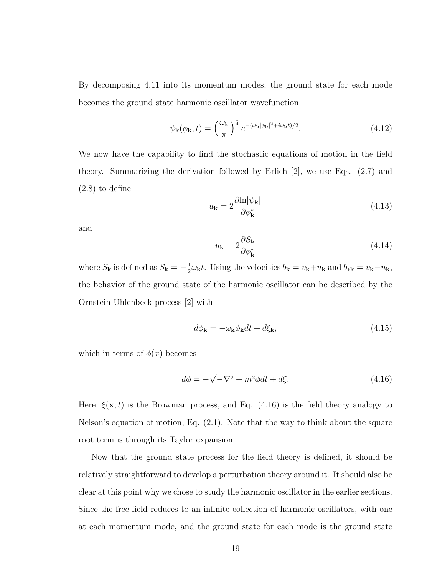By decomposing 4.11 into its momentum modes, the ground state for each mode becomes the ground state harmonic oscillator wavefunction

$$
\psi_{\mathbf{k}}(\phi_{\mathbf{k}},t) = \left(\frac{\omega_{\mathbf{k}}}{\pi}\right)^{\frac{1}{4}} e^{-(\omega_{\mathbf{k}}|\phi_{\mathbf{k}}|^2 + i\omega_{\mathbf{k}}t)/2}.
$$
\n(4.12)

We now have the capability to find the stochastic equations of motion in the field theory. Summarizing the derivation followed by Erlich [2], we use Eqs. (2.7) and (2.8) to define

$$
u_{\mathbf{k}} = 2 \frac{\partial \ln |\psi_{\mathbf{k}}|}{\partial \phi_{\mathbf{k}}^*}
$$
(4.13)

and

$$
u_{\mathbf{k}} = 2 \frac{\partial S_{\mathbf{k}}}{\partial \phi_{\mathbf{k}}^{*}}
$$
(4.14)

where  $S_{\mathbf{k}}$  is defined as  $S_{\mathbf{k}} = -\frac{1}{2}$  $\frac{1}{2}\omega_{\mathbf{k}}t$ . Using the velocities  $b_{\mathbf{k}} = v_{\mathbf{k}}+u_{\mathbf{k}}$  and  $b_{\ast \mathbf{k}} = v_{\mathbf{k}}-u_{\mathbf{k}}$ , the behavior of the ground state of the harmonic oscillator can be described by the Ornstein-Uhlenbeck process [2] with

$$
d\phi_{\mathbf{k}} = -\omega_{\mathbf{k}}\phi_{\mathbf{k}}dt + d\xi_{\mathbf{k}},\tag{4.15}
$$

which in terms of  $\phi(x)$  becomes

$$
d\phi = -\sqrt{-\nabla^2 + m^2} \phi dt + d\xi.
$$
 (4.16)

Here,  $\xi(\mathbf{x};t)$  is the Brownian process, and Eq. (4.16) is the field theory analogy to Nelson's equation of motion, Eq. (2.1). Note that the way to think about the square root term is through its Taylor expansion.

Now that the ground state process for the field theory is defined, it should be relatively straightforward to develop a perturbation theory around it. It should also be clear at this point why we chose to study the harmonic oscillator in the earlier sections. Since the free field reduces to an infinite collection of harmonic oscillators, with one at each momentum mode, and the ground state for each mode is the ground state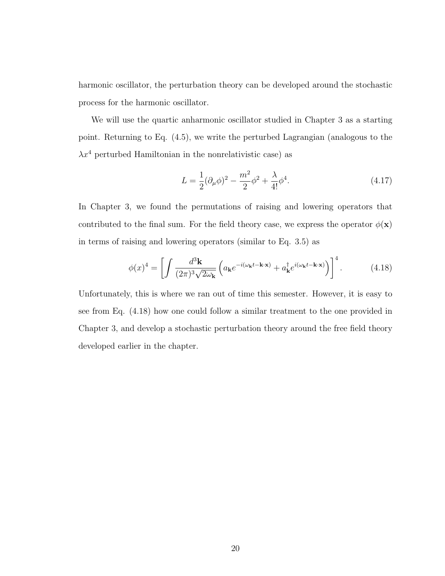harmonic oscillator, the perturbation theory can be developed around the stochastic process for the harmonic oscillator.

We will use the quartic anharmonic oscillator studied in Chapter 3 as a starting point. Returning to Eq. (4.5), we write the perturbed Lagrangian (analogous to the  $\lambda x^4$  perturbed Hamiltonian in the nonrelativistic case) as

$$
L = \frac{1}{2} (\partial_{\mu} \phi)^2 - \frac{m^2}{2} \phi^2 + \frac{\lambda}{4!} \phi^4.
$$
 (4.17)

In Chapter 3, we found the permutations of raising and lowering operators that contributed to the final sum. For the field theory case, we express the operator  $\phi(\mathbf{x})$ in terms of raising and lowering operators (similar to Eq. 3.5) as

$$
\phi(x)^4 = \left[ \int \frac{d^3 \mathbf{k}}{(2\pi)^3 \sqrt{2\omega_{\mathbf{k}}}} \left( a_{\mathbf{k}} e^{-i(\omega_{\mathbf{k}} t - \mathbf{k} \cdot \mathbf{x})} + a_{\mathbf{k}}^\dagger e^{i(\omega_{\mathbf{k}} t - \mathbf{k} \cdot \mathbf{x})} \right) \right]^4.
$$
(4.18)

Unfortunately, this is where we ran out of time this semester. However, it is easy to see from Eq. (4.18) how one could follow a similar treatment to the one provided in Chapter 3, and develop a stochastic perturbation theory around the free field theory developed earlier in the chapter.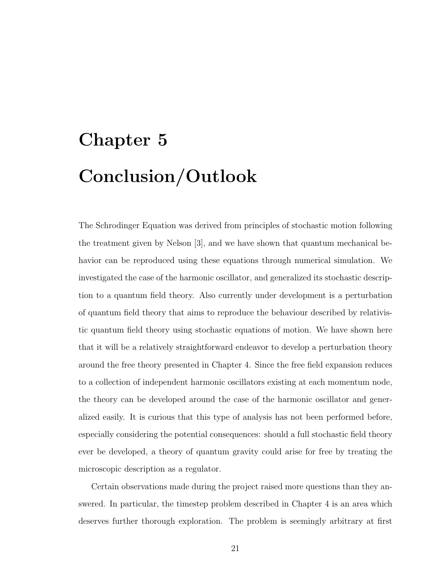# Chapter 5 Conclusion/Outlook

The Schrodinger Equation was derived from principles of stochastic motion following the treatment given by Nelson [3], and we have shown that quantum mechanical behavior can be reproduced using these equations through numerical simulation. We investigated the case of the harmonic oscillator, and generalized its stochastic description to a quantum field theory. Also currently under development is a perturbation of quantum field theory that aims to reproduce the behaviour described by relativistic quantum field theory using stochastic equations of motion. We have shown here that it will be a relatively straightforward endeavor to develop a perturbation theory around the free theory presented in Chapter 4. Since the free field expansion reduces to a collection of independent harmonic oscillators existing at each momentum node, the theory can be developed around the case of the harmonic oscillator and generalized easily. It is curious that this type of analysis has not been performed before, especially considering the potential consequences: should a full stochastic field theory ever be developed, a theory of quantum gravity could arise for free by treating the microscopic description as a regulator.

Certain observations made during the project raised more questions than they answered. In particular, the timestep problem described in Chapter 4 is an area which deserves further thorough exploration. The problem is seemingly arbitrary at first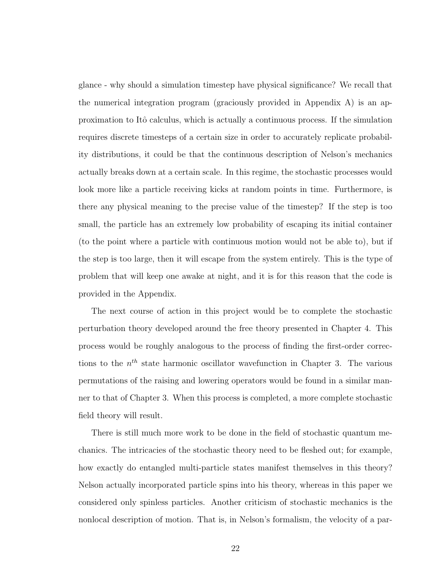glance - why should a simulation timestep have physical significance? We recall that the numerical integration program (graciously provided in Appendix A) is an approximation to Itô calculus, which is actually a continuous process. If the simulation requires discrete timesteps of a certain size in order to accurately replicate probability distributions, it could be that the continuous description of Nelson's mechanics actually breaks down at a certain scale. In this regime, the stochastic processes would look more like a particle receiving kicks at random points in time. Furthermore, is there any physical meaning to the precise value of the timestep? If the step is too small, the particle has an extremely low probability of escaping its initial container (to the point where a particle with continuous motion would not be able to), but if the step is too large, then it will escape from the system entirely. This is the type of problem that will keep one awake at night, and it is for this reason that the code is provided in the Appendix.

The next course of action in this project would be to complete the stochastic perturbation theory developed around the free theory presented in Chapter 4. This process would be roughly analogous to the process of finding the first-order corrections to the  $n<sup>th</sup>$  state harmonic oscillator wavefunction in Chapter 3. The various permutations of the raising and lowering operators would be found in a similar manner to that of Chapter 3. When this process is completed, a more complete stochastic field theory will result.

There is still much more work to be done in the field of stochastic quantum mechanics. The intricacies of the stochastic theory need to be fleshed out; for example, how exactly do entangled multi-particle states manifest themselves in this theory? Nelson actually incorporated particle spins into his theory, whereas in this paper we considered only spinless particles. Another criticism of stochastic mechanics is the nonlocal description of motion. That is, in Nelson's formalism, the velocity of a par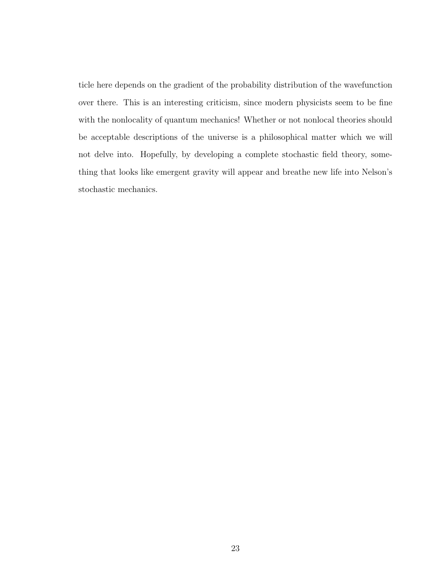ticle here depends on the gradient of the probability distribution of the wavefunction over there. This is an interesting criticism, since modern physicists seem to be fine with the nonlocality of quantum mechanics! Whether or not nonlocal theories should be acceptable descriptions of the universe is a philosophical matter which we will not delve into. Hopefully, by developing a complete stochastic field theory, something that looks like emergent gravity will appear and breathe new life into Nelson's stochastic mechanics.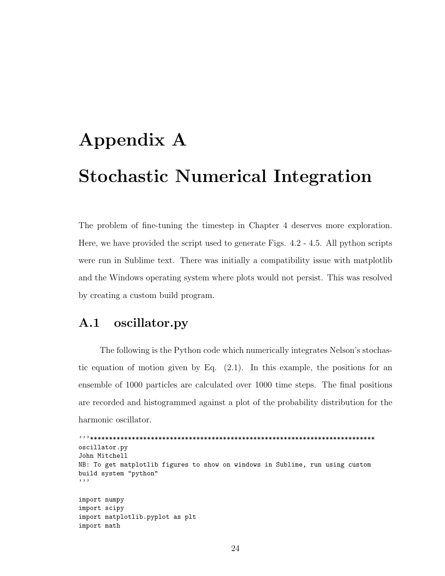# Appendix A Stochastic Numerical Integration

The problem of fine-tuning the timestep in Chapter 4 deserves more exploration. Here, we have provided the script used to generate Figs. 4.2 - 4.5. All python scripts were run in Sublime text. There was initially a compatibility issue with matplotlib and the Windows operating system where plots would not persist. This was resolved by creating a custom build program.

#### A.1 oscillator.py

The following is the Python code which numerically integrates Nelson's stochastic equation of motion given by Eq. (2.1). In this example, the positions for an ensemble of 1000 particles are calculated over 1000 time steps. The final positions are recorded and histogrammed against a plot of the probability distribution for the harmonic oscillator.

```
'''***************************************************************************
oscillator.py
John Mitchell
NB: To get matplotlib figures to show on windows in Sublime, run using custom
build system "python"
'''
import numpy
import scipy
import matplotlib.pyplot as plt
import math
```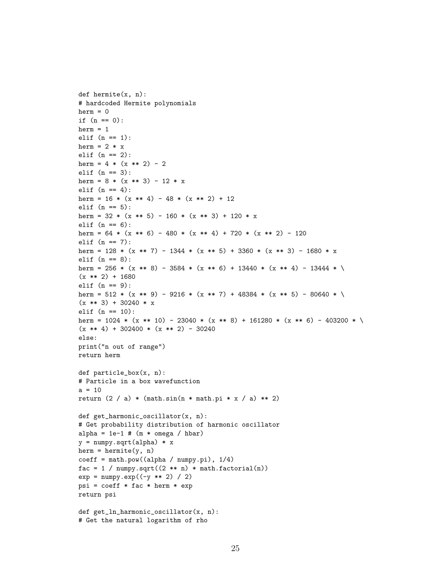```
def hermite(x, n):
# hardcoded Hermite polynomials
herm = 0if (n == 0):
herm = 1elif (n == 1):
herm = 2 * xelif (n == 2):
herm = 4 * (x ** 2) - 2elif (n == 3):
herm = 8 * (x ** 3) - 12 * xelif (n == 4):
herm = 16 * (x ** 4) - 48 * (x ** 2) + 12elif (n == 5):
herm = 32 * (x ** 5) - 160 * (x ** 3) + 120 * xelif (n == 6):
herm = 64 * (x ** 6) - 480 * (x ** 4) + 720 * (x ** 2) - 120elif (n == 7):
herm = 128 * (x *7) - 1344 * (x *5) + 3360 * (x ** 3) - 1680 * xelif (n == 8):
herm = 256 * (x ** 8) - 3584 * (x ** 6) + 13440 * (x ** 4) - 13444 * \
(x ** 2) + 1680elif (n == 9):
herm = 512 * (x ** 9) - 9216 * (x ** 7) + 48384 * (x ** 5) - 80640 * \
(x ** 3) + 30240 * xelif (n == 10):
herm = 1024 * (x ** 10) - 23040 * (x ** 8) + 161280 * (x ** 6) - 403200 * \
(x * * 4) + 302400 * (x * * 2) - 30240else:
print("n out of range")
return herm
def particle_box(x, n):
# Particle in a box wavefunction
a = 10return (2 / a) * (math.sin(n * math.pi * x / a) ** 2)def get_harmonic_oscillator(x, n):
# Get probability distribution of harmonic oscillator
alpha = 1e-1 # (m * \omega) hbar)
y = numpy.sqrt(alpha) * x
herm = hermite(y, n)coeff = math.pow((alpha / numpy.pi), 1/4)
fac = 1 / numpy.sqrt((2 * n) * math.factorial(n))exp = numpy.exp((-y ** 2) / 2)psi = coefff * fac * herm * expreturn psi
def get_ln_harmonic_oscillator(x, n):
# Get the natural logarithm of rho
```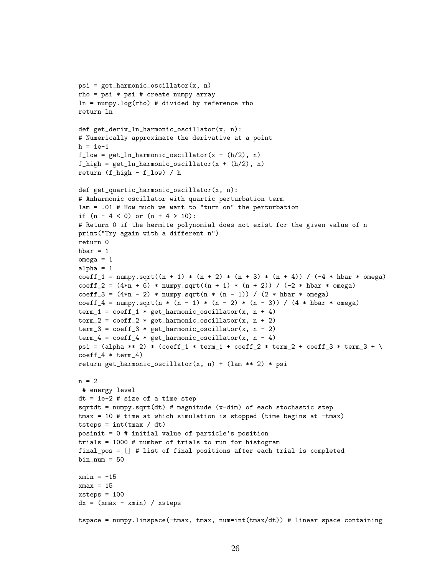```
psi = get_harmonic_oscillator(x, n)rho = psi * psi # create numpy arrayln = numpy.log(rho) # divided by reference rho
return ln
def get_deriv_ln_harmonic_oscillator(x, n):
# Numerically approximate the derivative at a point
h = 1e-1f_low = get_ln_harmonic_oscillator(x - (h/2), n)f_{\text{high}} = get_{\text{ln\_harmonic\_oscillator}(x + (h/2), n)}return (f_high - f_low) / h
def get_quartic_harmonic_oscillator(x, n):
# Anharmonic oscillator with quartic perturbation term
lam = .01 # How much we want to "turn on" the perturbation
if (n - 4 < 0) or (n + 4 > 10):
# Return 0 if the hermite polynomial does not exist for the given value of n
print("Try again with a different n")
return 0
hbar = 1omega = 1alpha = 1coeff_1 = numpy.sqrt((n + 1) * (n + 2) * (n + 3) * (n + 4)) / (-4 * hbar * omega)
coeff_2 = (4*n + 6) * numpy.sqrt((n + 1) * (n + 2)) / (-2 * hbar * omega)coeff_3 = (4*n - 2) * numpy.sqrt(n * (n - 1)) / (2 * hbar * omega)coeff_4 = numpy.sqrt(n * (n - 1) * (n - 2) * (n - 3)) / (4 * hbar * omega)
term_1 = coeff_1 * get_harmonic_oscillator(x, n + 4)term_2 = coeff_2 * get_harmonic_oscillator(x, n + 2)term_3 = coeff_3 * get_harmonic_oscillator(x, n - 2)term_4 = coeff_4 * get_harmonic_oscillator(x, n - 4)psi = (alpha ** 2) * (coeff_1 * term_1 + coeff_2 * term_2 + coeff_3 * term_3 + \
coeff_4 * term_4)return get_harmonic_oscillator(x, n) + (lam ** 2) * psi
n = 2
# energy level
dt = 1e-2 # size of a time step
sqrtdt = numpy.sqrt(dt) # magnitude (x-dim) of each stochastic step
tmax = 10 # time at which simulation is stopped (time begins at -tmax)
tsteps = int(tmax / dt)posinit = 0 # initial value of particle's position
trials = 1000 # number of trials to run for histogram
final_pos = [] # list of final positions after each trial is completed
bin\_num = 50xmin = -15xmax = 15xsteps = 100dx = (xmax - xmin) / xstepstspace = numpy.linspace(-tmax, tmax, num=int(tmax/dt)) # linear space containing
```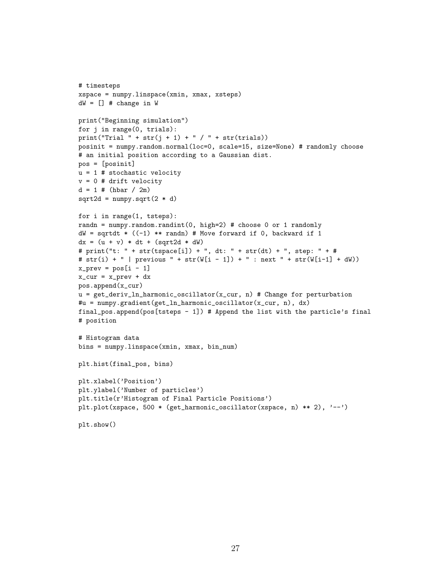```
# timesteps
xspace = numpy.linspace(xmin, xmax, xsteps)
dW = [] # change in W
print("Beginning simulation")
for j in range(0, trials):
print("Trial " + str(j + 1) + " / " + str(trials))
posinit = numpy.random.normal(loc=0, scale=15, size=None) # randomly choose
# an initial position according to a Gaussian dist.
pos = [posinit]
u = 1 # stochastic velocity
v = 0 # drift velocity
d = 1 # (hbar) / 2m)sqrt{2d} = numpy.sqrt(2 * d)for i in range(1, tsteps):
randn = numpy.random.randint(0, high=2) # choose 0 or 1 randomly
dW = sqrtdt * ((-1) ** randn) # Move forward if 0, backward if 1
dx = (u + v) * dt + (sqrt 2d * dW)# print("t: " + str(tspace[i]) + ", dt: " + str(dt) + ", step: " + #
# str(i) + " | previous " + str(W[i - 1]) + " : next " + str(W[i-1] + dW))x\_prev = pos[i - 1]x_cur = x_prev + dxpos.append(x_cur)
u = get\_deriv\_ln\_harmonic\_oscillator(x\_cur, n) # Change for perturbation#u = numpy.gradient(get_ln_harmonic_oscillator(x_cur, n), dx)
final_pos.append(pos[tsteps - 1]) # Append the list with the particle's final
# position
# Histogram data
bins = numpy.linspace(xmin, xmax, bin_num)
plt.hist(final_pos, bins)
plt.xlabel('Position')
plt.ylabel('Number of particles')
plt.title(r'Histogram of Final Particle Positions')
plt.plot(xspace, 500 * (get_harmonic_oscillator(xspace, n) ** 2), '--')
plt.show()
```